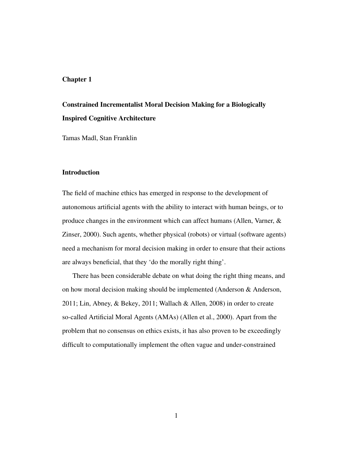# Chapter 1

# Constrained Incrementalist Moral Decision Making for a Biologically Inspired Cognitive Architecture

Tamas Madl, Stan Franklin

# **Introduction**

The field of machine ethics has emerged in response to the development of autonomous artificial agents with the ability to interact with human beings, or to produce changes in the environment which can affect humans (Allen, Varner, & Zinser, 2000). Such agents, whether physical (robots) or virtual (software agents) need a mechanism for moral decision making in order to ensure that their actions are always beneficial, that they 'do the morally right thing'.

There has been considerable debate on what doing the right thing means, and on how moral decision making should be implemented (Anderson & Anderson, 2011; Lin, Abney, & Bekey, 2011; Wallach & Allen, 2008) in order to create so-called Artificial Moral Agents (AMAs) (Allen et al., 2000). Apart from the problem that no consensus on ethics exists, it has also proven to be exceedingly difficult to computationally implement the often vague and under-constrained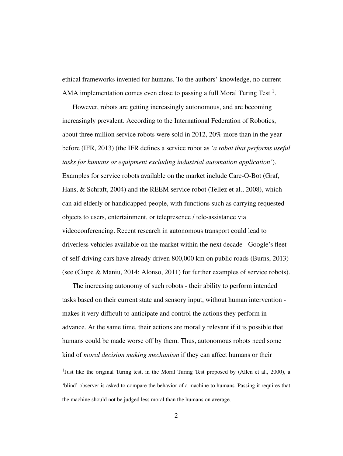ethical frameworks invented for humans. To the authors' knowledge, no current AMA implementation comes even close to passing a full Moral Turing Test  $<sup>1</sup>$ .</sup>

However, robots are getting increasingly autonomous, and are becoming increasingly prevalent. According to the International Federation of Robotics, about three million service robots were sold in 2012, 20% more than in the year before (IFR, 2013) (the IFR defines a service robot as *'a robot that performs useful tasks for humans or equipment excluding industrial automation application'*). Examples for service robots available on the market include Care-O-Bot (Graf, Hans, & Schraft, 2004) and the REEM service robot (Tellez et al., 2008), which can aid elderly or handicapped people, with functions such as carrying requested objects to users, entertainment, or telepresence / tele-assistance via videoconferencing. Recent research in autonomous transport could lead to driverless vehicles available on the market within the next decade - Google's fleet of self-driving cars have already driven 800,000 km on public roads (Burns, 2013) (see (Ciupe & Maniu, 2014; Alonso, 2011) for further examples of service robots).

The increasing autonomy of such robots - their ability to perform intended tasks based on their current state and sensory input, without human intervention makes it very difficult to anticipate and control the actions they perform in advance. At the same time, their actions are morally relevant if it is possible that humans could be made worse off by them. Thus, autonomous robots need some kind of *moral decision making mechanism* if they can affect humans or their <sup>1</sup>Just like the original Turing test, in the Moral Turing Test proposed by (Allen et al., 2000), a 'blind' observer is asked to compare the behavior of a machine to humans. Passing it requires that the machine should not be judged less moral than the humans on average.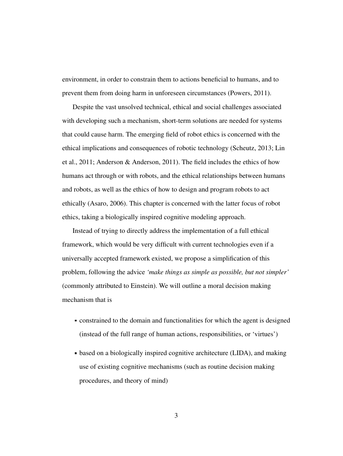environment, in order to constrain them to actions beneficial to humans, and to prevent them from doing harm in unforeseen circumstances (Powers, 2011).

Despite the vast unsolved technical, ethical and social challenges associated with developing such a mechanism, short-term solutions are needed for systems that could cause harm. The emerging field of robot ethics is concerned with the ethical implications and consequences of robotic technology (Scheutz, 2013; Lin et al., 2011; Anderson & Anderson, 2011). The field includes the ethics of how humans act through or with robots, and the ethical relationships between humans and robots, as well as the ethics of how to design and program robots to act ethically (Asaro, 2006). This chapter is concerned with the latter focus of robot ethics, taking a biologically inspired cognitive modeling approach.

Instead of trying to directly address the implementation of a full ethical framework, which would be very difficult with current technologies even if a universally accepted framework existed, we propose a simplification of this problem, following the advice *'make things as simple as possible, but not simpler'* (commonly attributed to Einstein). We will outline a moral decision making mechanism that is

- constrained to the domain and functionalities for which the agent is designed (instead of the full range of human actions, responsibilities, or 'virtues')
- based on a biologically inspired cognitive architecture (LIDA), and making use of existing cognitive mechanisms (such as routine decision making procedures, and theory of mind)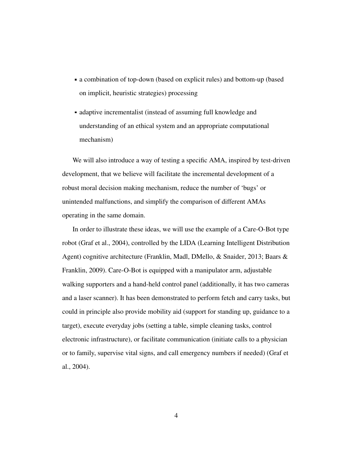- a combination of top-down (based on explicit rules) and bottom-up (based on implicit, heuristic strategies) processing
- adaptive incrementalist (instead of assuming full knowledge and understanding of an ethical system and an appropriate computational mechanism)

We will also introduce a way of testing a specific AMA, inspired by test-driven development, that we believe will facilitate the incremental development of a robust moral decision making mechanism, reduce the number of 'bugs' or unintended malfunctions, and simplify the comparison of different AMAs operating in the same domain.

In order to illustrate these ideas, we will use the example of a Care-O-Bot type robot (Graf et al., 2004), controlled by the LIDA (Learning Intelligent Distribution Agent) cognitive architecture (Franklin, Madl, DMello, & Snaider, 2013; Baars & Franklin, 2009). Care-O-Bot is equipped with a manipulator arm, adjustable walking supporters and a hand-held control panel (additionally, it has two cameras and a laser scanner). It has been demonstrated to perform fetch and carry tasks, but could in principle also provide mobility aid (support for standing up, guidance to a target), execute everyday jobs (setting a table, simple cleaning tasks, control electronic infrastructure), or facilitate communication (initiate calls to a physician or to family, supervise vital signs, and call emergency numbers if needed) (Graf et al., 2004).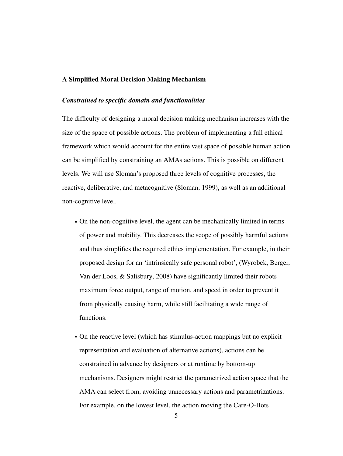# A Simplified Moral Decision Making Mechanism

# *Constrained to specific domain and functionalities*

The difficulty of designing a moral decision making mechanism increases with the size of the space of possible actions. The problem of implementing a full ethical framework which would account for the entire vast space of possible human action can be simplified by constraining an AMAs actions. This is possible on different levels. We will use Sloman's proposed three levels of cognitive processes, the reactive, deliberative, and metacognitive (Sloman, 1999), as well as an additional non-cognitive level.

- On the non-cognitive level, the agent can be mechanically limited in terms of power and mobility. This decreases the scope of possibly harmful actions and thus simplifies the required ethics implementation. For example, in their proposed design for an 'intrinsically safe personal robot', (Wyrobek, Berger, Van der Loos, & Salisbury, 2008) have significantly limited their robots maximum force output, range of motion, and speed in order to prevent it from physically causing harm, while still facilitating a wide range of functions.
- On the reactive level (which has stimulus-action mappings but no explicit representation and evaluation of alternative actions), actions can be constrained in advance by designers or at runtime by bottom-up mechanisms. Designers might restrict the parametrized action space that the AMA can select from, avoiding unnecessary actions and parametrizations. For example, on the lowest level, the action moving the Care-O-Bots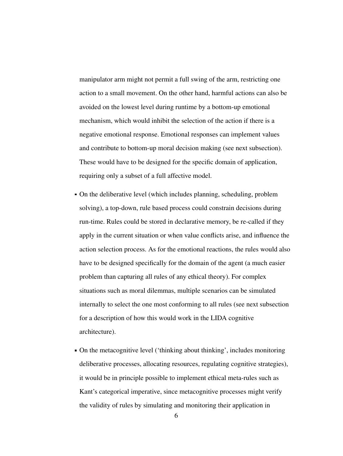manipulator arm might not permit a full swing of the arm, restricting one action to a small movement. On the other hand, harmful actions can also be avoided on the lowest level during runtime by a bottom-up emotional mechanism, which would inhibit the selection of the action if there is a negative emotional response. Emotional responses can implement values and contribute to bottom-up moral decision making (see next subsection). These would have to be designed for the specific domain of application, requiring only a subset of a full affective model.

- On the deliberative level (which includes planning, scheduling, problem solving), a top-down, rule based process could constrain decisions during run-time. Rules could be stored in declarative memory, be re-called if they apply in the current situation or when value conflicts arise, and influence the action selection process. As for the emotional reactions, the rules would also have to be designed specifically for the domain of the agent (a much easier problem than capturing all rules of any ethical theory). For complex situations such as moral dilemmas, multiple scenarios can be simulated internally to select the one most conforming to all rules (see next subsection for a description of how this would work in the LIDA cognitive architecture).
- On the metacognitive level ('thinking about thinking', includes monitoring deliberative processes, allocating resources, regulating cognitive strategies), it would be in principle possible to implement ethical meta-rules such as Kant's categorical imperative, since metacognitive processes might verify the validity of rules by simulating and monitoring their application in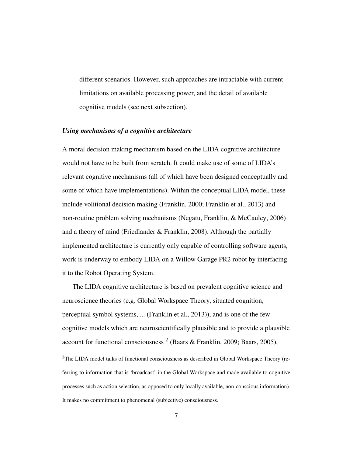different scenarios. However, such approaches are intractable with current limitations on available processing power, and the detail of available cognitive models (see next subsection).

# *Using mechanisms of a cognitive architecture*

A moral decision making mechanism based on the LIDA cognitive architecture would not have to be built from scratch. It could make use of some of LIDA's relevant cognitive mechanisms (all of which have been designed conceptually and some of which have implementations). Within the conceptual LIDA model, these include volitional decision making (Franklin, 2000; Franklin et al., 2013) and non-routine problem solving mechanisms (Negatu, Franklin, & McCauley, 2006) and a theory of mind (Friedlander & Franklin, 2008). Although the partially implemented architecture is currently only capable of controlling software agents, work is underway to embody LIDA on a Willow Garage PR2 robot by interfacing it to the Robot Operating System.

The LIDA cognitive architecture is based on prevalent cognitive science and neuroscience theories (e.g. Global Workspace Theory, situated cognition, perceptual symbol systems, ... (Franklin et al., 2013)), and is one of the few cognitive models which are neuroscientifically plausible and to provide a plausible account for functional consciousness<sup>2</sup> (Baars & Franklin, 2009; Baars, 2005), <sup>2</sup>The LIDA model talks of functional consciousness as described in Global Workspace Theory (referring to information that is 'broadcast' in the Global Workspace and made available to cognitive processes such as action selection, as opposed to only locally available, non-conscious information). It makes no commitment to phenomenal (subjective) consciousness.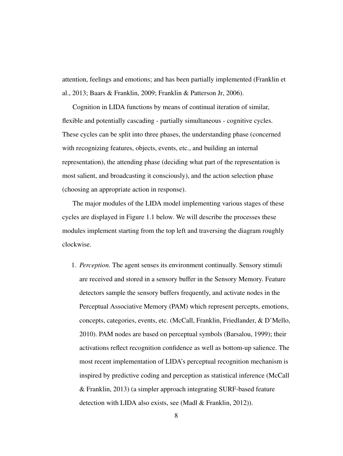attention, feelings and emotions; and has been partially implemented (Franklin et al., 2013; Baars & Franklin, 2009; Franklin & Patterson Jr, 2006).

Cognition in LIDA functions by means of continual iteration of similar, flexible and potentially cascading - partially simultaneous - cognitive cycles. These cycles can be split into three phases, the understanding phase (concerned with recognizing features, objects, events, etc., and building an internal representation), the attending phase (deciding what part of the representation is most salient, and broadcasting it consciously), and the action selection phase (choosing an appropriate action in response).

The major modules of the LIDA model implementing various stages of these cycles are displayed in Figure 1.1 below. We will describe the processes these modules implement starting from the top left and traversing the diagram roughly clockwise.

1. *Perception.* The agent senses its environment continually. Sensory stimuli are received and stored in a sensory buffer in the Sensory Memory. Feature detectors sample the sensory buffers frequently, and activate nodes in the Perceptual Associative Memory (PAM) which represent percepts, emotions, concepts, categories, events, etc. (McCall, Franklin, Friedlander, & D'Mello, 2010). PAM nodes are based on perceptual symbols (Barsalou, 1999); their activations reflect recognition confidence as well as bottom-up salience. The most recent implementation of LIDA's perceptual recognition mechanism is inspired by predictive coding and perception as statistical inference (McCall & Franklin, 2013) (a simpler approach integrating SURF-based feature detection with LIDA also exists, see (Madl & Franklin, 2012)).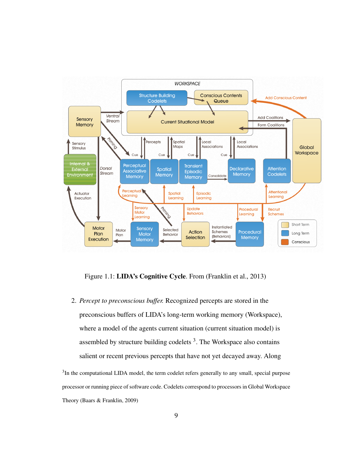

Figure 1.1: LIDA's Cognitive Cycle. From (Franklin et al., 2013)

2. *Percept to preconscious buffer.* Recognized percepts are stored in the preconscious buffers of LIDA's long-term working memory (Workspace), where a model of the agents current situation (current situation model) is assembled by structure building codelets  $3$ . The Workspace also contains salient or recent previous percepts that have not yet decayed away. Along

 $3$ In the computational LIDA model, the term codelet refers generally to any small, special purpose processor or running piece of software code. Codelets correspond to processors in Global Workspace Theory (Baars & Franklin, 2009)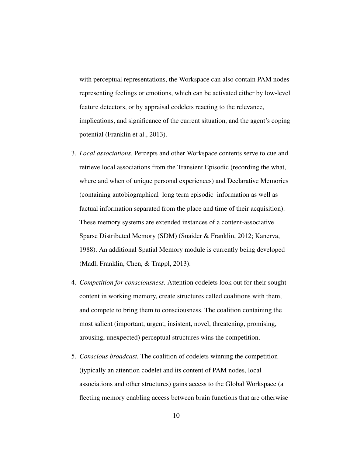with perceptual representations, the Workspace can also contain PAM nodes representing feelings or emotions, which can be activated either by low-level feature detectors, or by appraisal codelets reacting to the relevance, implications, and significance of the current situation, and the agent's coping potential (Franklin et al., 2013).

- 3. *Local associations.* Percepts and other Workspace contents serve to cue and retrieve local associations from the Transient Episodic (recording the what, where and when of unique personal experiences) and Declarative Memories (containing autobiographical long term episodic information as well as factual information separated from the place and time of their acquisition). These memory systems are extended instances of a content-associative Sparse Distributed Memory (SDM) (Snaider & Franklin, 2012; Kanerva, 1988). An additional Spatial Memory module is currently being developed (Madl, Franklin, Chen, & Trappl, 2013).
- 4. *Competition for consciousness.* Attention codelets look out for their sought content in working memory, create structures called coalitions with them, and compete to bring them to consciousness. The coalition containing the most salient (important, urgent, insistent, novel, threatening, promising, arousing, unexpected) perceptual structures wins the competition.
- 5. *Conscious broadcast.* The coalition of codelets winning the competition (typically an attention codelet and its content of PAM nodes, local associations and other structures) gains access to the Global Workspace (a fleeting memory enabling access between brain functions that are otherwise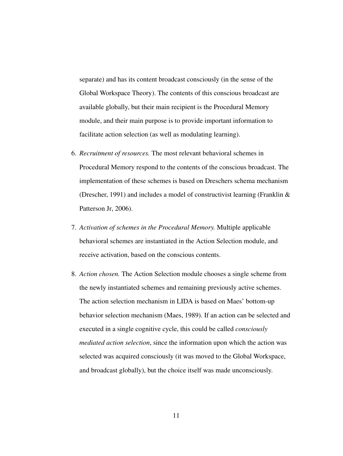separate) and has its content broadcast consciously (in the sense of the Global Workspace Theory). The contents of this conscious broadcast are available globally, but their main recipient is the Procedural Memory module, and their main purpose is to provide important information to facilitate action selection (as well as modulating learning).

- 6. *Recruitment of resources.* The most relevant behavioral schemes in Procedural Memory respond to the contents of the conscious broadcast. The implementation of these schemes is based on Dreschers schema mechanism (Drescher, 1991) and includes a model of constructivist learning (Franklin & Patterson Jr, 2006).
- 7. *Activation of schemes in the Procedural Memory.* Multiple applicable behavioral schemes are instantiated in the Action Selection module, and receive activation, based on the conscious contents.
- 8. *Action chosen.* The Action Selection module chooses a single scheme from the newly instantiated schemes and remaining previously active schemes. The action selection mechanism in LIDA is based on Maes' bottom-up behavior selection mechanism (Maes, 1989). If an action can be selected and executed in a single cognitive cycle, this could be called *consciously mediated action selection*, since the information upon which the action was selected was acquired consciously (it was moved to the Global Workspace, and broadcast globally), but the choice itself was made unconsciously.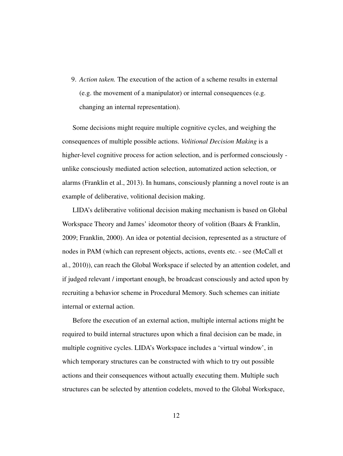9. *Action taken.* The execution of the action of a scheme results in external (e.g. the movement of a manipulator) or internal consequences (e.g. changing an internal representation).

Some decisions might require multiple cognitive cycles, and weighing the consequences of multiple possible actions. *Volitional Decision Making* is a higher-level cognitive process for action selection, and is performed consciously unlike consciously mediated action selection, automatized action selection, or alarms (Franklin et al., 2013). In humans, consciously planning a novel route is an example of deliberative, volitional decision making.

LIDA's deliberative volitional decision making mechanism is based on Global Workspace Theory and James' ideomotor theory of volition (Baars & Franklin, 2009; Franklin, 2000). An idea or potential decision, represented as a structure of nodes in PAM (which can represent objects, actions, events etc. - see (McCall et al., 2010)), can reach the Global Workspace if selected by an attention codelet, and if judged relevant / important enough, be broadcast consciously and acted upon by recruiting a behavior scheme in Procedural Memory. Such schemes can initiate internal or external action.

Before the execution of an external action, multiple internal actions might be required to build internal structures upon which a final decision can be made, in multiple cognitive cycles. LIDA's Workspace includes a 'virtual window', in which temporary structures can be constructed with which to try out possible actions and their consequences without actually executing them. Multiple such structures can be selected by attention codelets, moved to the Global Workspace,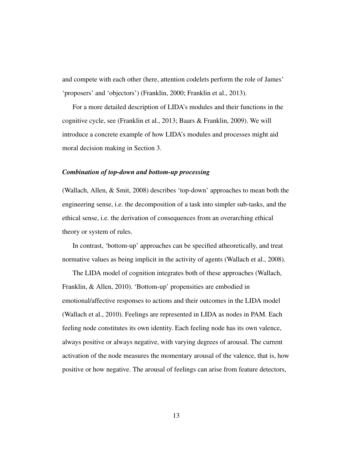and compete with each other (here, attention codelets perform the role of James' 'proposers' and 'objectors') (Franklin, 2000; Franklin et al., 2013).

For a more detailed description of LIDA's modules and their functions in the cognitive cycle, see (Franklin et al., 2013; Baars & Franklin, 2009). We will introduce a concrete example of how LIDA's modules and processes might aid moral decision making in Section 3.

## *Combination of top-down and bottom-up processing*

(Wallach, Allen, & Smit, 2008) describes 'top-down' approaches to mean both the engineering sense, i.e. the decomposition of a task into simpler sub-tasks, and the ethical sense, i.e. the derivation of consequences from an overarching ethical theory or system of rules.

In contrast, 'bottom-up' approaches can be specified atheoretically, and treat normative values as being implicit in the activity of agents (Wallach et al., 2008).

The LIDA model of cognition integrates both of these approaches (Wallach, Franklin, & Allen, 2010). 'Bottom-up' propensities are embodied in emotional/affective responses to actions and their outcomes in the LIDA model (Wallach et al., 2010). Feelings are represented in LIDA as nodes in PAM. Each feeling node constitutes its own identity. Each feeling node has its own valence, always positive or always negative, with varying degrees of arousal. The current activation of the node measures the momentary arousal of the valence, that is, how positive or how negative. The arousal of feelings can arise from feature detectors,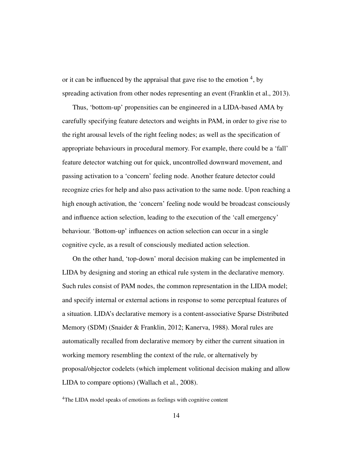or it can be influenced by the appraisal that gave rise to the emotion  $4$ , by spreading activation from other nodes representing an event (Franklin et al., 2013).

Thus, 'bottom-up' propensities can be engineered in a LIDA-based AMA by carefully specifying feature detectors and weights in PAM, in order to give rise to the right arousal levels of the right feeling nodes; as well as the specification of appropriate behaviours in procedural memory. For example, there could be a 'fall' feature detector watching out for quick, uncontrolled downward movement, and passing activation to a 'concern' feeling node. Another feature detector could recognize cries for help and also pass activation to the same node. Upon reaching a high enough activation, the 'concern' feeling node would be broadcast consciously and influence action selection, leading to the execution of the 'call emergency' behaviour. 'Bottom-up' influences on action selection can occur in a single cognitive cycle, as a result of consciously mediated action selection.

On the other hand, 'top-down' moral decision making can be implemented in LIDA by designing and storing an ethical rule system in the declarative memory. Such rules consist of PAM nodes, the common representation in the LIDA model; and specify internal or external actions in response to some perceptual features of a situation. LIDA's declarative memory is a content-associative Sparse Distributed Memory (SDM) (Snaider & Franklin, 2012; Kanerva, 1988). Moral rules are automatically recalled from declarative memory by either the current situation in working memory resembling the context of the rule, or alternatively by proposal/objector codelets (which implement volitional decision making and allow LIDA to compare options) (Wallach et al., 2008).

<sup>4</sup>The LIDA model speaks of emotions as feelings with cognitive content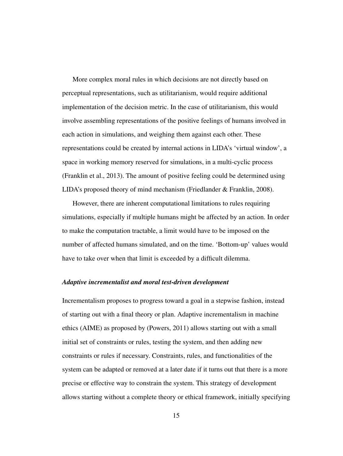More complex moral rules in which decisions are not directly based on perceptual representations, such as utilitarianism, would require additional implementation of the decision metric. In the case of utilitarianism, this would involve assembling representations of the positive feelings of humans involved in each action in simulations, and weighing them against each other. These representations could be created by internal actions in LIDA's 'virtual window', a space in working memory reserved for simulations, in a multi-cyclic process (Franklin et al., 2013). The amount of positive feeling could be determined using LIDA's proposed theory of mind mechanism (Friedlander & Franklin, 2008).

However, there are inherent computational limitations to rules requiring simulations, especially if multiple humans might be affected by an action. In order to make the computation tractable, a limit would have to be imposed on the number of affected humans simulated, and on the time. 'Bottom-up' values would have to take over when that limit is exceeded by a difficult dilemma.

#### *Adaptive incrementalist and moral test-driven development*

Incrementalism proposes to progress toward a goal in a stepwise fashion, instead of starting out with a final theory or plan. Adaptive incrementalism in machine ethics (AIME) as proposed by (Powers, 2011) allows starting out with a small initial set of constraints or rules, testing the system, and then adding new constraints or rules if necessary. Constraints, rules, and functionalities of the system can be adapted or removed at a later date if it turns out that there is a more precise or effective way to constrain the system. This strategy of development allows starting without a complete theory or ethical framework, initially specifying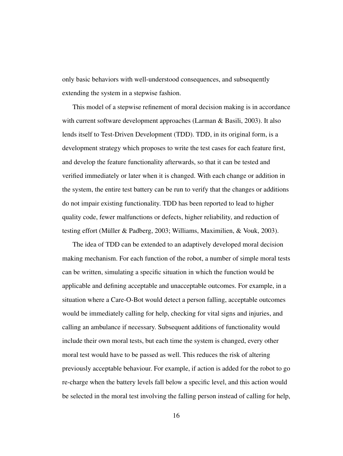only basic behaviors with well-understood consequences, and subsequently extending the system in a stepwise fashion.

This model of a stepwise refinement of moral decision making is in accordance with current software development approaches (Larman & Basili, 2003). It also lends itself to Test-Driven Development (TDD). TDD, in its original form, is a development strategy which proposes to write the test cases for each feature first, and develop the feature functionality afterwards, so that it can be tested and verified immediately or later when it is changed. With each change or addition in the system, the entire test battery can be run to verify that the changes or additions do not impair existing functionality. TDD has been reported to lead to higher quality code, fewer malfunctions or defects, higher reliability, and reduction of testing effort (Müller & Padberg, 2003; Williams, Maximilien, & Vouk, 2003).

The idea of TDD can be extended to an adaptively developed moral decision making mechanism. For each function of the robot, a number of simple moral tests can be written, simulating a specific situation in which the function would be applicable and defining acceptable and unacceptable outcomes. For example, in a situation where a Care-O-Bot would detect a person falling, acceptable outcomes would be immediately calling for help, checking for vital signs and injuries, and calling an ambulance if necessary. Subsequent additions of functionality would include their own moral tests, but each time the system is changed, every other moral test would have to be passed as well. This reduces the risk of altering previously acceptable behaviour. For example, if action is added for the robot to go re-charge when the battery levels fall below a specific level, and this action would be selected in the moral test involving the falling person instead of calling for help,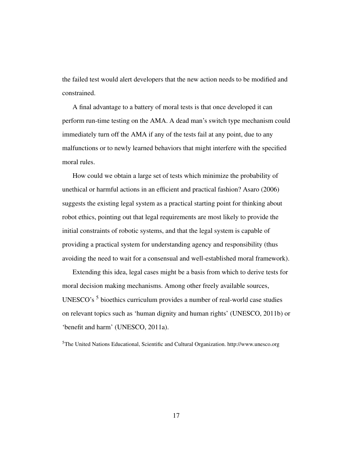the failed test would alert developers that the new action needs to be modified and constrained.

A final advantage to a battery of moral tests is that once developed it can perform run-time testing on the AMA. A dead man's switch type mechanism could immediately turn off the AMA if any of the tests fail at any point, due to any malfunctions or to newly learned behaviors that might interfere with the specified moral rules.

How could we obtain a large set of tests which minimize the probability of unethical or harmful actions in an efficient and practical fashion? Asaro (2006) suggests the existing legal system as a practical starting point for thinking about robot ethics, pointing out that legal requirements are most likely to provide the initial constraints of robotic systems, and that the legal system is capable of providing a practical system for understanding agency and responsibility (thus avoiding the need to wait for a consensual and well-established moral framework).

Extending this idea, legal cases might be a basis from which to derive tests for moral decision making mechanisms. Among other freely available sources, UNESCO's <sup>5</sup> bioethics curriculum provides a number of real-world case studies on relevant topics such as 'human dignity and human rights' (UNESCO, 2011b) or 'benefit and harm' (UNESCO, 2011a).

<sup>5</sup>The United Nations Educational, Scientific and Cultural Organization. http://www.unesco.org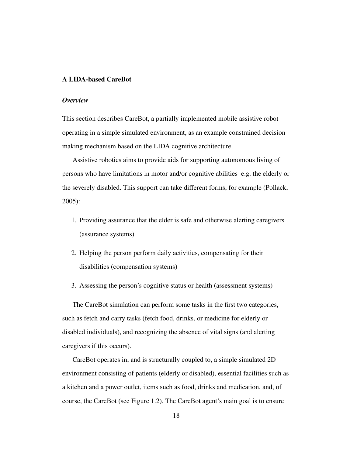# A LIDA-based CareBot

## *Overview*

This section describes CareBot, a partially implemented mobile assistive robot operating in a simple simulated environment, as an example constrained decision making mechanism based on the LIDA cognitive architecture.

Assistive robotics aims to provide aids for supporting autonomous living of persons who have limitations in motor and/or cognitive abilities e.g. the elderly or the severely disabled. This support can take different forms, for example (Pollack, 2005):

- 1. Providing assurance that the elder is safe and otherwise alerting caregivers (assurance systems)
- 2. Helping the person perform daily activities, compensating for their disabilities (compensation systems)
- 3. Assessing the person's cognitive status or health (assessment systems)

The CareBot simulation can perform some tasks in the first two categories, such as fetch and carry tasks (fetch food, drinks, or medicine for elderly or disabled individuals), and recognizing the absence of vital signs (and alerting caregivers if this occurs).

CareBot operates in, and is structurally coupled to, a simple simulated 2D environment consisting of patients (elderly or disabled), essential facilities such as a kitchen and a power outlet, items such as food, drinks and medication, and, of course, the CareBot (see Figure 1.2). The CareBot agent's main goal is to ensure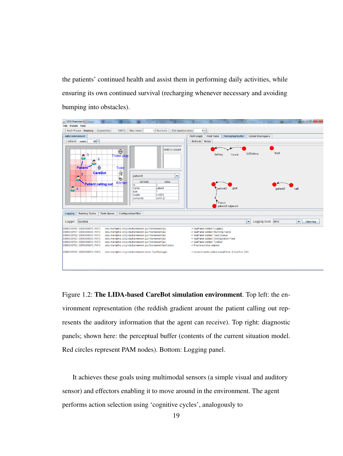the patients' continued health and assist them in performing daily activities, while ensuring its own continued survival (recharging whenever necessary and avoiding bumping into obstacles).



Figure 1.2: The LIDA-based CareBot simulation environment. Top left: the environment representation (the reddish gradient arount the patient calling out represents the auditory information that the agent can receive). Top right: diagnostic panels; shown here: the perceptual buffer (contents of the current situation model. Red circles represent PAM nodes). Bottom: Logging panel.

It achieves these goals using multimodal sensors (a simple visual and auditory sensor) and effectors enabling it to move around in the environment. The agent performs action selection using 'cognitive cycles', analogously to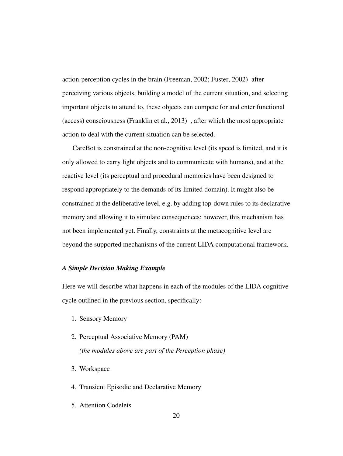action-perception cycles in the brain (Freeman, 2002; Fuster, 2002) after perceiving various objects, building a model of the current situation, and selecting important objects to attend to, these objects can compete for and enter functional (access) consciousness (Franklin et al., 2013) , after which the most appropriate action to deal with the current situation can be selected.

CareBot is constrained at the non-cognitive level (its speed is limited, and it is only allowed to carry light objects and to communicate with humans), and at the reactive level (its perceptual and procedural memories have been designed to respond appropriately to the demands of its limited domain). It might also be constrained at the deliberative level, e.g. by adding top-down rules to its declarative memory and allowing it to simulate consequences; however, this mechanism has not been implemented yet. Finally, constraints at the metacognitive level are beyond the supported mechanisms of the current LIDA computational framework.

## *A Simple Decision Making Example*

Here we will describe what happens in each of the modules of the LIDA cognitive cycle outlined in the previous section, specifically:

- 1. Sensory Memory
- 2. Perceptual Associative Memory (PAM) *(the modules above are part of the Perception phase)*
- 3. Workspace
- 4. Transient Episodic and Declarative Memory
- 5. Attention Codelets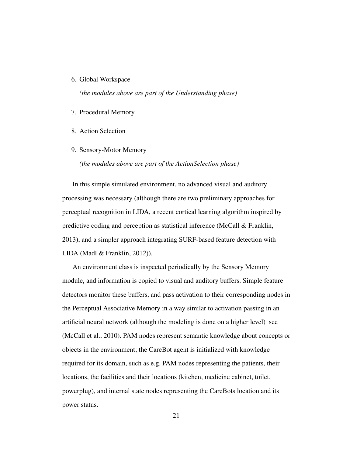6. Global Workspace

*(the modules above are part of the Understanding phase)*

- 7. Procedural Memory
- 8. Action Selection
- 9. Sensory-Motor Memory

*(the modules above are part of the ActionSelection phase)*

In this simple simulated environment, no advanced visual and auditory processing was necessary (although there are two preliminary approaches for perceptual recognition in LIDA, a recent cortical learning algorithm inspired by predictive coding and perception as statistical inference (McCall & Franklin, 2013), and a simpler approach integrating SURF-based feature detection with LIDA (Madl & Franklin, 2012)).

An environment class is inspected periodically by the Sensory Memory module, and information is copied to visual and auditory buffers. Simple feature detectors monitor these buffers, and pass activation to their corresponding nodes in the Perceptual Associative Memory in a way similar to activation passing in an artificial neural network (although the modeling is done on a higher level) see (McCall et al., 2010). PAM nodes represent semantic knowledge about concepts or objects in the environment; the CareBot agent is initialized with knowledge required for its domain, such as e.g. PAM nodes representing the patients, their locations, the facilities and their locations (kitchen, medicine cabinet, toilet, powerplug), and internal state nodes representing the CareBots location and its power status.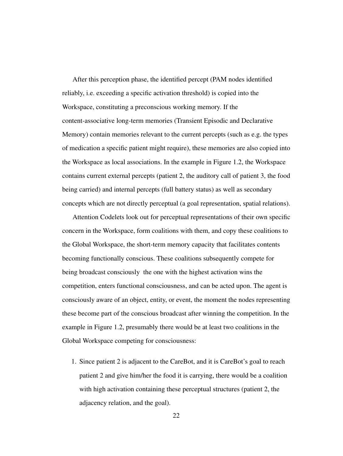After this perception phase, the identified percept (PAM nodes identified reliably, i.e. exceeding a specific activation threshold) is copied into the Workspace, constituting a preconscious working memory. If the content-associative long-term memories (Transient Episodic and Declarative Memory) contain memories relevant to the current percepts (such as e.g. the types of medication a specific patient might require), these memories are also copied into the Workspace as local associations. In the example in Figure 1.2, the Workspace contains current external percepts (patient 2, the auditory call of patient 3, the food being carried) and internal percepts (full battery status) as well as secondary concepts which are not directly perceptual (a goal representation, spatial relations).

Attention Codelets look out for perceptual representations of their own specific concern in the Workspace, form coalitions with them, and copy these coalitions to the Global Workspace, the short-term memory capacity that facilitates contents becoming functionally conscious. These coalitions subsequently compete for being broadcast consciously the one with the highest activation wins the competition, enters functional consciousness, and can be acted upon. The agent is consciously aware of an object, entity, or event, the moment the nodes representing these become part of the conscious broadcast after winning the competition. In the example in Figure 1.2, presumably there would be at least two coalitions in the Global Workspace competing for consciousness:

1. Since patient 2 is adjacent to the CareBot, and it is CareBot's goal to reach patient 2 and give him/her the food it is carrying, there would be a coalition with high activation containing these perceptual structures (patient 2, the adjacency relation, and the goal).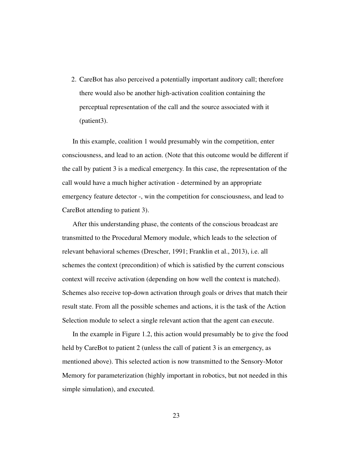2. CareBot has also perceived a potentially important auditory call; therefore there would also be another high-activation coalition containing the perceptual representation of the call and the source associated with it (patient3).

In this example, coalition 1 would presumably win the competition, enter consciousness, and lead to an action. (Note that this outcome would be different if the call by patient 3 is a medical emergency. In this case, the representation of the call would have a much higher activation - determined by an appropriate emergency feature detector -, win the competition for consciousness, and lead to CareBot attending to patient 3).

After this understanding phase, the contents of the conscious broadcast are transmitted to the Procedural Memory module, which leads to the selection of relevant behavioral schemes (Drescher, 1991; Franklin et al., 2013), i.e. all schemes the context (precondition) of which is satisfied by the current conscious context will receive activation (depending on how well the context is matched). Schemes also receive top-down activation through goals or drives that match their result state. From all the possible schemes and actions, it is the task of the Action Selection module to select a single relevant action that the agent can execute.

In the example in Figure 1.2, this action would presumably be to give the food held by CareBot to patient 2 (unless the call of patient 3 is an emergency, as mentioned above). This selected action is now transmitted to the Sensory-Motor Memory for parameterization (highly important in robotics, but not needed in this simple simulation), and executed.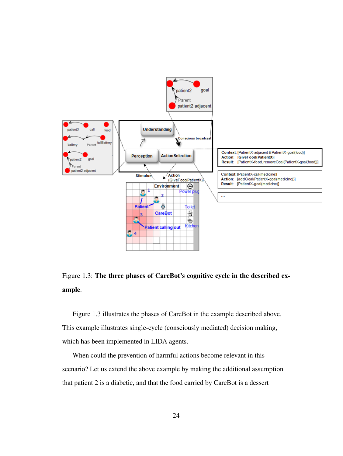

Figure 1.3: The three phases of CareBot's cognitive cycle in the described example.

Figure 1.3 illustrates the phases of CareBot in the example described above. This example illustrates single-cycle (consciously mediated) decision making, which has been implemented in LIDA agents.

When could the prevention of harmful actions become relevant in this scenario? Let us extend the above example by making the additional assumption that patient 2 is a diabetic, and that the food carried by CareBot is a dessert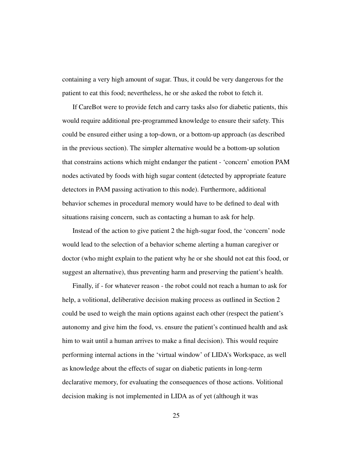containing a very high amount of sugar. Thus, it could be very dangerous for the patient to eat this food; nevertheless, he or she asked the robot to fetch it.

If CareBot were to provide fetch and carry tasks also for diabetic patients, this would require additional pre-programmed knowledge to ensure their safety. This could be ensured either using a top-down, or a bottom-up approach (as described in the previous section). The simpler alternative would be a bottom-up solution that constrains actions which might endanger the patient - 'concern' emotion PAM nodes activated by foods with high sugar content (detected by appropriate feature detectors in PAM passing activation to this node). Furthermore, additional behavior schemes in procedural memory would have to be defined to deal with situations raising concern, such as contacting a human to ask for help.

Instead of the action to give patient 2 the high-sugar food, the 'concern' node would lead to the selection of a behavior scheme alerting a human caregiver or doctor (who might explain to the patient why he or she should not eat this food, or suggest an alternative), thus preventing harm and preserving the patient's health.

Finally, if - for whatever reason - the robot could not reach a human to ask for help, a volitional, deliberative decision making process as outlined in Section 2 could be used to weigh the main options against each other (respect the patient's autonomy and give him the food, vs. ensure the patient's continued health and ask him to wait until a human arrives to make a final decision). This would require performing internal actions in the 'virtual window' of LIDA's Workspace, as well as knowledge about the effects of sugar on diabetic patients in long-term declarative memory, for evaluating the consequences of those actions. Volitional decision making is not implemented in LIDA as of yet (although it was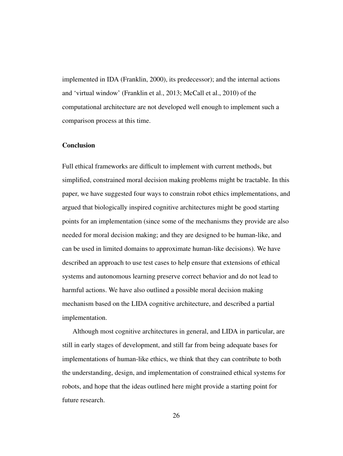implemented in IDA (Franklin, 2000), its predecessor); and the internal actions and 'virtual window' (Franklin et al., 2013; McCall et al., 2010) of the computational architecture are not developed well enough to implement such a comparison process at this time.

# **Conclusion**

Full ethical frameworks are difficult to implement with current methods, but simplified, constrained moral decision making problems might be tractable. In this paper, we have suggested four ways to constrain robot ethics implementations, and argued that biologically inspired cognitive architectures might be good starting points for an implementation (since some of the mechanisms they provide are also needed for moral decision making; and they are designed to be human-like, and can be used in limited domains to approximate human-like decisions). We have described an approach to use test cases to help ensure that extensions of ethical systems and autonomous learning preserve correct behavior and do not lead to harmful actions. We have also outlined a possible moral decision making mechanism based on the LIDA cognitive architecture, and described a partial implementation.

Although most cognitive architectures in general, and LIDA in particular, are still in early stages of development, and still far from being adequate bases for implementations of human-like ethics, we think that they can contribute to both the understanding, design, and implementation of constrained ethical systems for robots, and hope that the ideas outlined here might provide a starting point for future research.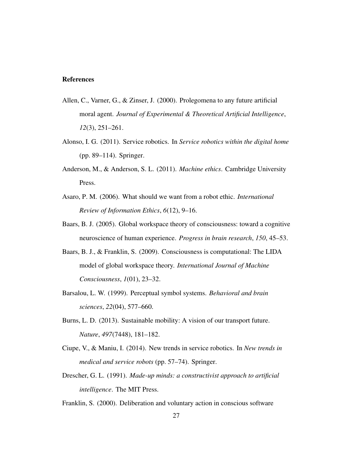# References

- Allen, C., Varner, G., & Zinser, J. (2000). Prolegomena to any future artificial moral agent. *Journal of Experimental & Theoretical Artificial Intelligence*, *12*(3), 251–261.
- Alonso, I. G. (2011). Service robotics. In *Service robotics within the digital home* (pp. 89–114). Springer.
- Anderson, M., & Anderson, S. L. (2011). *Machine ethics*. Cambridge University Press.
- Asaro, P. M. (2006). What should we want from a robot ethic. *International Review of Information Ethics*, *6*(12), 9–16.
- Baars, B. J. (2005). Global workspace theory of consciousness: toward a cognitive neuroscience of human experience. *Progress in brain research*, *150*, 45–53.
- Baars, B. J., & Franklin, S. (2009). Consciousness is computational: The LIDA model of global workspace theory. *International Journal of Machine Consciousness*, *1*(01), 23–32.
- Barsalou, L. W. (1999). Perceptual symbol systems. *Behavioral and brain sciences*, *22*(04), 577–660.
- Burns, L. D. (2013). Sustainable mobility: A vision of our transport future. *Nature*, *497*(7448), 181–182.
- Ciupe, V., & Maniu, I. (2014). New trends in service robotics. In *New trends in medical and service robots* (pp. 57–74). Springer.
- Drescher, G. L. (1991). *Made-up minds: a constructivist approach to artificial intelligence*. The MIT Press.
- Franklin, S. (2000). Deliberation and voluntary action in conscious software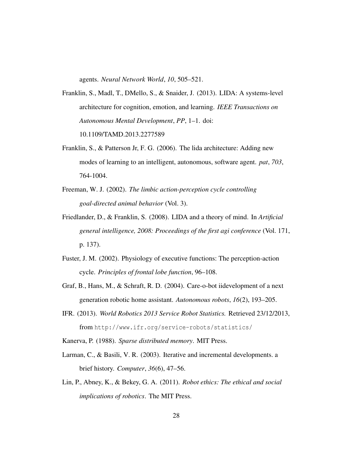agents. *Neural Network World*, *10*, 505–521.

- Franklin, S., Madl, T., DMello, S., & Snaider, J. (2013). LIDA: A systems-level architecture for cognition, emotion, and learning. *IEEE Transactions on Autonomous Mental Development*, *PP*, 1–1. doi: 10.1109/TAMD.2013.2277589
- Franklin, S., & Patterson Jr, F. G. (2006). The lida architecture: Adding new modes of learning to an intelligent, autonomous, software agent. *pat*, *703*, 764-1004.
- Freeman, W. J. (2002). *The limbic action-perception cycle controlling goal-directed animal behavior* (Vol. 3).
- Friedlander, D., & Franklin, S. (2008). LIDA and a theory of mind. In *Artificial general intelligence, 2008: Proceedings of the first agi conference* (Vol. 171, p. 137).
- Fuster, J. M. (2002). Physiology of executive functions: The perception-action cycle. *Principles of frontal lobe function*, 96–108.
- Graf, B., Hans, M., & Schraft, R. D. (2004). Care-o-bot iidevelopment of a next generation robotic home assistant. *Autonomous robots*, *16*(2), 193–205.
- IFR. (2013). *World Robotics 2013 Service Robot Statistics.* Retrieved 23/12/2013, from http://www.ifr.org/service-robots/statistics/
- Kanerva, P. (1988). *Sparse distributed memory*. MIT Press.
- Larman, C., & Basili, V. R. (2003). Iterative and incremental developments. a brief history. *Computer*, *36*(6), 47–56.
- Lin, P., Abney, K., & Bekey, G. A. (2011). *Robot ethics: The ethical and social implications of robotics*. The MIT Press.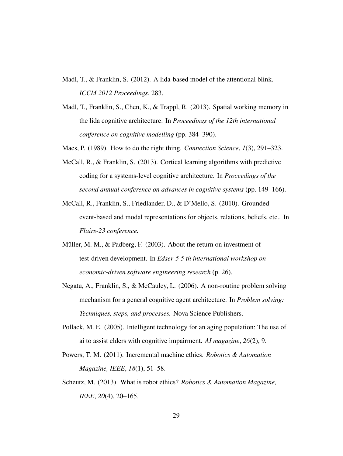- Madl, T., & Franklin, S. (2012). A lida-based model of the attentional blink. *ICCM 2012 Proceedings*, 283.
- Madl, T., Franklin, S., Chen, K., & Trappl, R. (2013). Spatial working memory in the lida cognitive architecture. In *Proceedings of the 12th international conference on cognitive modelling* (pp. 384–390).
- Maes, P. (1989). How to do the right thing. *Connection Science*, *1*(3), 291–323.
- McCall, R., & Franklin, S. (2013). Cortical learning algorithms with predictive coding for a systems-level cognitive architecture. In *Proceedings of the second annual conference on advances in cognitive systems* (pp. 149–166).
- McCall, R., Franklin, S., Friedlander, D., & D'Mello, S. (2010). Grounded event-based and modal representations for objects, relations, beliefs, etc.. In *Flairs-23 conference.*
- Müller, M. M., & Padberg, F. (2003). About the return on investment of test-driven development. In *Edser-5 5 th international workshop on economic-driven software engineering research* (p. 26).
- Negatu, A., Franklin, S., & McCauley, L. (2006). A non-routine problem solving mechanism for a general cognitive agent architecture. In *Problem solving: Techniques, steps, and processes.* Nova Science Publishers.
- Pollack, M. E. (2005). Intelligent technology for an aging population: The use of ai to assist elders with cognitive impairment. *AI magazine*, *26*(2), 9.
- Powers, T. M. (2011). Incremental machine ethics. *Robotics & Automation Magazine, IEEE*, *18*(1), 51–58.
- Scheutz, M. (2013). What is robot ethics? *Robotics & Automation Magazine, IEEE*, *20*(4), 20–165.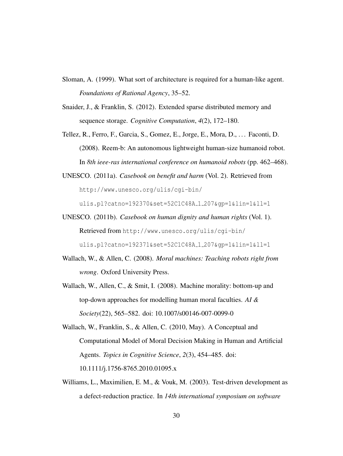- Sloman, A. (1999). What sort of architecture is required for a human-like agent. *Foundations of Rational Agency*, 35–52.
- Snaider, J., & Franklin, S. (2012). Extended sparse distributed memory and sequence storage. *Cognitive Computation*, *4*(2), 172–180.
- Tellez, R., Ferro, F., Garcia, S., Gomez, E., Jorge, E., Mora, D., . . . Faconti, D. (2008). Reem-b: An autonomous lightweight human-size humanoid robot. In *8th ieee-ras international conference on humanoid robots* (pp. 462–468).
- UNESCO. (2011a). *Casebook on benefit and harm* (Vol. 2). Retrieved from http://www.unesco.org/ulis/cgi-bin/

ulis.pl?catno=192370&set=52C1C48A 1 207&gp=1&lin=1&ll=1

- UNESCO. (2011b). *Casebook on human dignity and human rights* (Vol. 1). Retrieved from http://www.unesco.org/ulis/cgi-bin/ ulis.pl?catno=192371&set=52C1C48A 1 207&gp=1&lin=1&ll=1
- Wallach, W., & Allen, C. (2008). *Moral machines: Teaching robots right from wrong*. Oxford University Press.
- Wallach, W., Allen, C., & Smit, I. (2008). Machine morality: bottom-up and top-down approaches for modelling human moral faculties. *AI & Society*(22), 565–582. doi: 10.1007/s00146-007-0099-0
- Wallach, W., Franklin, S., & Allen, C. (2010, May). A Conceptual and Computational Model of Moral Decision Making in Human and Artificial Agents. *Topics in Cognitive Science*, *2*(3), 454–485. doi: 10.1111/j.1756-8765.2010.01095.x
- Williams, L., Maximilien, E. M., & Vouk, M. (2003). Test-driven development as a defect-reduction practice. In *14th international symposium on software*